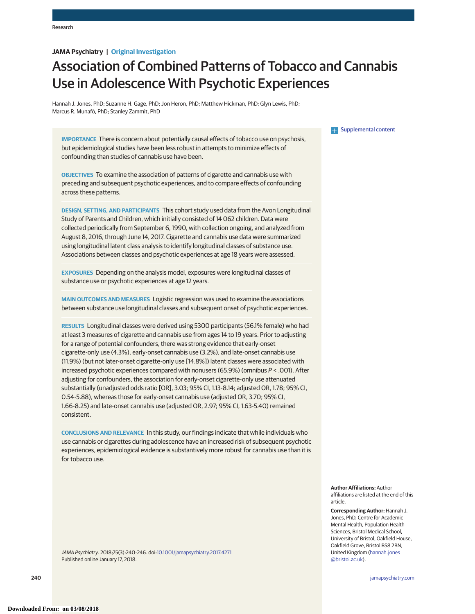# **JAMA Psychiatry | Original Investigation**

# Association of Combined Patterns of Tobacco and Cannabis Use in Adolescence With Psychotic Experiences

Hannah J. Jones, PhD; Suzanne H. Gage, PhD; Jon Heron, PhD; Matthew Hickman, PhD; Glyn Lewis, PhD; Marcus R. Munafò, PhD; Stanley Zammit, PhD

**IMPORTANCE** There is concern about potentially causal effects of tobacco use on psychosis, but epidemiological studies have been less robust in attempts to minimize effects of confounding than studies of cannabis use have been.

**OBJECTIVES** To examine the association of patterns of cigarette and cannabis use with preceding and subsequent psychotic experiences, and to compare effects of confounding across these patterns.

**DESIGN, SETTING, AND PARTICIPANTS** This cohort study used data from the Avon Longitudinal Study of Parents and Children, which initially consisted of 14 062 children. Data were collected periodically from September 6, 1990, with collection ongoing, and analyzed from August 8, 2016, through June 14, 2017. Cigarette and cannabis use data were summarized using longitudinal latent class analysis to identify longitudinal classes of substance use. Associations between classes and psychotic experiences at age 18 years were assessed.

**EXPOSURES** Depending on the analysis model, exposures were longitudinal classes of substance use or psychotic experiences at age 12 years.

**MAIN OUTCOMES AND MEASURES** Logistic regression was used to examine the associations between substance use longitudinal classes and subsequent onset of psychotic experiences.

**RESULTS** Longitudinal classes were derived using 5300 participants (56.1% female) who had at least 3 measures of cigarette and cannabis use from ages 14 to 19 years. Prior to adjusting for a range of potential confounders, there was strong evidence that early-onset cigarette-only use (4.3%), early-onset cannabis use (3.2%), and late-onset cannabis use (11.9%) (but not later-onset cigarette-only use [14.8%]) latent classes were associated with increased psychotic experiences compared with nonusers (65.9%) (omnibus P < .001). After adjusting for confounders, the association for early-onset cigarette-only use attenuated substantially (unadjusted odds ratio [OR], 3.03; 95% CI, 1.13-8.14; adjusted OR, 1.78; 95% CI, 0.54-5.88), whereas those for early-onset cannabis use (adjusted OR, 3.70; 95% CI, 1.66-8.25) and late-onset cannabis use (adjusted OR, 2.97; 95% CI, 1.63-5.40) remained consistent.

**CONCLUSIONS AND RELEVANCE** In this study, our findings indicate that while individuals who use cannabis or cigarettes during adolescence have an increased risk of subsequent psychotic experiences, epidemiological evidence is substantively more robust for cannabis use than it is for tobacco use.

JAMA Psychiatry. 2018;75(3):240-246. doi[:10.1001/jamapsychiatry.2017.4271](http://jama.jamanetwork.com/article.aspx?doi=10.1001/jamapsychiatry.2017.4271&utm_campaign=articlePDF%26utm_medium=articlePDFlink%26utm_source=articlePDF%26utm_content=jamapsychiatry.2017.4271) Published online January 17, 2018.

## **Examplemental content**

**Author Affiliations:** Author affiliations are listed at the end of this article.

**Corresponding Author:** Hannah J. Jones, PhD, Centre for Academic Mental Health, Population Health Sciences, Bristol Medical School, University of Bristol, Oakfield House, Oakfield Grove, Bristol BS8 2BN, United Kingdom [\(hannah.jones](mailto:hannah.jones@bristol.ac.uk) [@bristol.ac.uk\)](mailto:hannah.jones@bristol.ac.uk).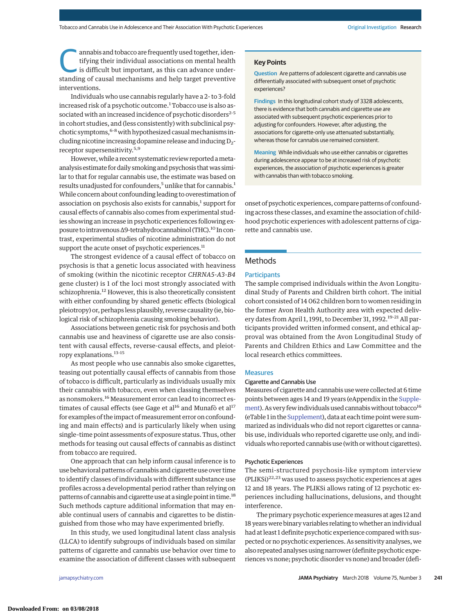annabis and tobacco are frequently used together, iden-<br>tifying their individual associations on mental health<br>is difficult but important, as this can advance under-<br>standing of causal mochanisms and bola target proventive tifying their individual associations on mental health standing of causal mechanisms and help target preventive interventions.

Individuals who use cannabis regularly have a 2- to 3-fold increased risk of a psychotic outcome.<sup>1</sup> Tobacco use is also associated with an increased incidence of psychotic disorders<sup>2-5</sup> in cohort studies, and (less consistently) with subclinical psychotic symptoms, <sup>6-8</sup> with hypothesized casual mechanisms including nicotine increasing dopamine release and inducing  $D_2$ receptor supersensitivity.<sup>5,9</sup>

However, while a recent systematic review reported a metaanalysis estimate for daily smoking and psychosis thatwas similar to that for regular cannabis use, the estimate was based on results unadjusted for confounders,<sup>5</sup> unlike that for cannabis.<sup>1</sup> While concern about confounding leading to overestimation of association on psychosis also exists for cannabis,<sup>1</sup> support for causal effects of cannabis also comes from experimental studies showing an increase in psychotic experiences following exposure to intravenousΔ9-tetrahydrocannabinol (THC).10 In contrast, experimental studies of nicotine administration do not support the acute onset of psychotic experiences.<sup>11</sup>

The strongest evidence of a causal effect of tobacco on psychosis is that a genetic locus associated with heaviness of smoking (within the nicotinic receptor *CHRNA5-A3-B4* gene cluster) is 1 of the loci most strongly associated with schizophrenia.12 However, this is also theoretically consistent with either confounding by shared genetic effects (biological pleiotropy) or, perhaps less plausibly, reverse causality (ie, biological risk of schizophrenia causing smoking behavior).

Associations between genetic risk for psychosis and both cannabis use and heaviness of cigarette use are also consistent with causal effects, reverse-causal effects, and pleiotropy explanations.13-15

As most people who use cannabis also smoke cigarettes, teasing out potentially causal effects of cannabis from those of tobacco is difficult, particularly as individuals usually mix their cannabis with tobacco, even when classing themselves as nonsmokers.<sup>16</sup> Measurement error can lead to incorrect estimates of causal effects (see Gage et al<sup>16</sup> and Munafò et al<sup>17</sup> for examples of the impact of measurement error on confounding and main effects) and is particularly likely when using single–time point assessments of exposure status. Thus, other methods for teasing out causal effects of cannabis as distinct from tobacco are required.

One approach that can help inform causal inference is to use behavioral patterns of cannabis and cigarette use over time to identify classes of individuals with different substance use profiles across a developmental period rather than relying on patterns of cannabis and cigarette use at a single point in time.18 Such methods capture additional information that may enable continual users of cannabis and cigarettes to be distinguished from those who may have experimented briefly.

In this study, we used longitudinal latent class analysis (LLCA) to identify subgroups of individuals based on similar patterns of cigarette and cannabis use behavior over time to examine the association of different classes with subsequent

## **Key Points**

**Question** Are patterns of adolescent cigarette and cannabis use differentially associated with subsequent onset of psychotic experiences?

**Findings** In this longitudinal cohort study of 3328 adolescents, there is evidence that both cannabis and cigarette use are associated with subsequent psychotic experiences prior to adjusting for confounders. However, after adjusting, the associations for cigarette-only use attenuated substantially, whereas those for cannabis use remained consistent.

**Meaning** While individuals who use either cannabis or cigarettes during adolescence appear to be at increased risk of psychotic experiences, the association of psychotic experiences is greater with cannabis than with tobacco smoking.

onset of psychotic experiences, compare patterns of confounding across these classes, and examine the association of childhood psychotic experiences with adolescent patterns of cigarette and cannabis use.

## Methods

## **Participants**

The sample comprised individuals within the Avon Longitudinal Study of Parents and Children birth cohort. The initial cohort consisted of 14 062 children born to women residing in the former Avon Health Authority area with expected delivery dates from April 1, 1991, to December 31, 1992.<sup>19-21</sup> All participants provided written informed consent, and ethical approval was obtained from the Avon Longitudinal Study of Parents and Children Ethics and Law Committee and the local research ethics committees.

#### **Measures**

#### Cigarette and Cannabis Use

Measures of cigarette and cannabis use were collected at 6 time points between ages 14 and 19 years (eAppendix in the [Supple](http://jama.jamanetwork.com/article.aspx?doi=10.1001/jamapsychiatry.2017.4271&utm_campaign=articlePDF%26utm_medium=articlePDFlink%26utm_source=articlePDF%26utm_content=jamapsychiatry.2017.4271)[ment\)](http://jama.jamanetwork.com/article.aspx?doi=10.1001/jamapsychiatry.2017.4271&utm_campaign=articlePDF%26utm_medium=articlePDFlink%26utm_source=articlePDF%26utm_content=jamapsychiatry.2017.4271). As very few individuals used cannabis without tobacco<sup>16</sup> (eTable 1 in the [Supplement\)](http://jama.jamanetwork.com/article.aspx?doi=10.1001/jamapsychiatry.2017.4271&utm_campaign=articlePDF%26utm_medium=articlePDFlink%26utm_source=articlePDF%26utm_content=jamapsychiatry.2017.4271), data at each time point were summarized as individuals who did not report cigarettes or cannabis use, individuals who reported cigarette use only, and individuals who reported cannabis use (with or without cigarettes).

#### Psychotic Experiences

The semi-structured psychosis-like symptom interview  $(PLIKSi)^{22,23}$  was used to assess psychotic experiences at ages 12 and 18 years. The PLIKSi allows rating of 12 psychotic experiences including hallucinations, delusions, and thought interference.

The primary psychotic experience measures at ages 12 and 18 years were binary variables relating to whether an individual had at least 1 definite psychotic experience compared with suspected or no psychotic experiences. As sensitivity analyses, we also repeated analyses using narrower (definite psychotic experiences vs none; psychotic disorder vs none) and broader (defi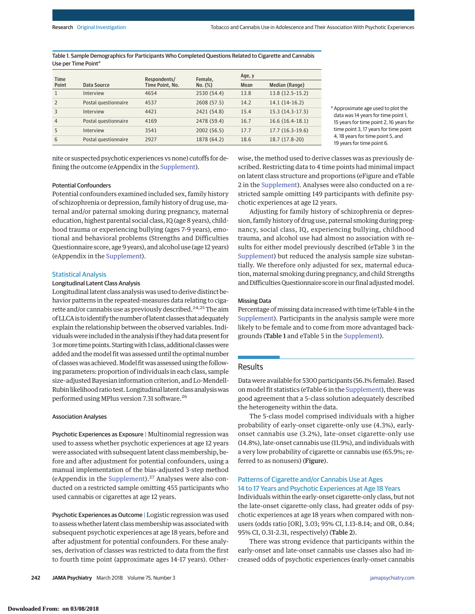Table 1. Sample Demographics for Participants Who Completed Questions Related to Cigarette and Cannabis Use per Time Point<sup>a</sup>

| <b>Time</b>    | Data Source          | Respondents/<br>Time Point, No. | Female,<br>No. (%) | Age, y |                   |  |
|----------------|----------------------|---------------------------------|--------------------|--------|-------------------|--|
| Point          |                      |                                 |                    | Mean   | Median (Range)    |  |
|                | Interview            | 4654                            | 2530 (54.4)        | 13.8   | 13.8 (12.5-15.2)  |  |
|                | Postal questionnaire | 4537                            | 2608 (57.5)        | 14.2   | $14.1(14-16.2)$   |  |
| 3              | Interview            | 4421                            | 2421 (54.8)        | 15.4   | $15.3(14.3-17.5)$ |  |
| $\overline{4}$ | Postal questionnaire | 4169                            | 2478 (59.4)        | 16.7   | $16.6(16.4-18.1)$ |  |
| 5              | Interview            | 3541                            | 2002 (56.5)        | 17.7   | $17.7(16.3-19.6)$ |  |
| 6              | Postal questionnaire | 2927                            | 1878 (64.2)        | 18.6   | 18.7 (17.8-20)    |  |

<sup>a</sup> Approximate age used to plot the data was 14 years for time point 1, 15 years for time point 2, 16 years for time point 3, 17 years for time point 4, 18 years for time point 5, and 19 years for time point 6.

nite or suspected psychotic experiences vs none) cutoffs for defining the outcome (eAppendix in the [Supplement\)](http://jama.jamanetwork.com/article.aspx?doi=10.1001/jamapsychiatry.2017.4271&utm_campaign=articlePDF%26utm_medium=articlePDFlink%26utm_source=articlePDF%26utm_content=jamapsychiatry.2017.4271).

#### Potential Confounders

Potential confounders examined included sex, family history of schizophrenia or depression, family history of drug use,maternal and/or paternal smoking during pregnancy, maternal education, highest parental social class, IQ (age 8 years), childhood trauma or experiencing bullying (ages 7-9 years), emotional and behavioral problems (Strengths and Difficulties Questionnaire score, age 9 years), and alcohol use (age 12 years) (eAppendix in the [Supplement\)](http://jama.jamanetwork.com/article.aspx?doi=10.1001/jamapsychiatry.2017.4271&utm_campaign=articlePDF%26utm_medium=articlePDFlink%26utm_source=articlePDF%26utm_content=jamapsychiatry.2017.4271).

#### Statistical Analysis

# Longitudinal Latent Class Analysis

Longitudinal latent class analysiswas used to derive distinct behavior patterns in the repeated-measures data relating to cigarette and/or cannabis use as previously described.<sup>24,25</sup> The aim of LLCA is to identify the number of latent classes that adequately explain the relationship between the observed variables. Individualswere included in the analysis if they had data present for 3 or more time points. Starting with 1 class, additional classes were added and themodel fit was assessed until the optimal number of classes was achieved. Model fit was assessed using the following parameters: proportion of individuals in each class, sample size–adjusted Bayesian information criterion, and Lo-Mendell-Rubin likelihood ratio test. Longitudinal latent class analysiswas performed using MPlus version 7.31 software.26

## Association Analyses

Psychotic Experiences as Exposure | Multinomial regression was used to assess whether psychotic experiences at age 12 years were associated with subsequent latent class membership, before and after adjustment for potential confounders, using a manual implementation of the bias-adjusted 3-step method (eAppendix in the [Supplement\)](http://jama.jamanetwork.com/article.aspx?doi=10.1001/jamapsychiatry.2017.4271&utm_campaign=articlePDF%26utm_medium=articlePDFlink%26utm_source=articlePDF%26utm_content=jamapsychiatry.2017.4271).<sup>27</sup> Analyses were also conducted on a restricted sample omitting 455 participants who used cannabis or cigarettes at age 12 years.

Psychotic Experiences as Outcome | Logistic regression was used to assess whether latent class membership was associated with subsequent psychotic experiences at age 18 years, before and after adjustment for potential confounders. For these analyses, derivation of classes was restricted to data from the first to fourth time point (approximate ages 14-17 years). Other-

**242 JAMA Psychiatry** March 2018 Volume 75, Number 3 **(Reprinted)** [jamapsychiatry.com](http://www.jamapsychiatry.com/?utm_campaign=articlePDF%26utm_medium=articlePDFlink%26utm_source=articlePDF%26utm_content=jamapsychiatry.2017.4271)

wise, the method used to derive classes was as previously described. Restricting data to 4 time points had minimal impact on latent class structure and proportions (eFigure and eTable 2 in the [Supplement\)](http://jama.jamanetwork.com/article.aspx?doi=10.1001/jamapsychiatry.2017.4271&utm_campaign=articlePDF%26utm_medium=articlePDFlink%26utm_source=articlePDF%26utm_content=jamapsychiatry.2017.4271). Analyses were also conducted on a restricted sample omitting 149 participants with definite psychotic experiences at age 12 years.

Adjusting for family history of schizophrenia or depression, family history of drug use, paternal smoking during pregnancy, social class, IQ , experiencing bullying, childhood trauma, and alcohol use had almost no association with results for either model previously described (eTable 3 in the [Supplement\)](http://jama.jamanetwork.com/article.aspx?doi=10.1001/jamapsychiatry.2017.4271&utm_campaign=articlePDF%26utm_medium=articlePDFlink%26utm_source=articlePDF%26utm_content=jamapsychiatry.2017.4271) but reduced the analysis sample size substantially. We therefore only adjusted for sex, maternal education, maternal smoking during pregnancy, and child Strengths and Difficulties Questionnaire score in our final adjusted model.

## Missing Data

Percentage of missing data increased with time (eTable 4 in the [Supplement\)](http://jama.jamanetwork.com/article.aspx?doi=10.1001/jamapsychiatry.2017.4271&utm_campaign=articlePDF%26utm_medium=articlePDFlink%26utm_source=articlePDF%26utm_content=jamapsychiatry.2017.4271). Participants in the analysis sample were more likely to be female and to come from more advantaged backgrounds (Table 1 and eTable 5 in the [Supplement\)](http://jama.jamanetwork.com/article.aspx?doi=10.1001/jamapsychiatry.2017.4271&utm_campaign=articlePDF%26utm_medium=articlePDFlink%26utm_source=articlePDF%26utm_content=jamapsychiatry.2017.4271).

# Results

Data were available for 5300 participants (56.1% female). Based on model fit statistics (eTable 6 in the [Supplement\)](http://jama.jamanetwork.com/article.aspx?doi=10.1001/jamapsychiatry.2017.4271&utm_campaign=articlePDF%26utm_medium=articlePDFlink%26utm_source=articlePDF%26utm_content=jamapsychiatry.2017.4271), there was good agreement that a 5-class solution adequately described the heterogeneity within the data.

The 5-class model comprised individuals with a higher probability of early-onset cigarette-only use (4.3%), earlyonset cannabis use (3.2%), late-onset cigarette-only use (14.8%), late-onset cannabis use (11.9%), and individuals with a very low probability of cigarette or cannabis use (65.9%; referred to as nonusers) (Figure).

# Patterns of Cigarette and/or Cannabis Use at Ages 14 to 17 Years and Psychotic Experiences at Age 18 Years

Individuals within the early-onset cigarette-only class, but not the late-onset cigarette-only class, had greater odds of psychotic experiences at age 18 years when compared with nonusers (odds ratio [OR], 3.03; 95% CI, 1.13-8.14; and OR, 0.84; 95% CI, 0.31-2.31, respectively) (Table 2).

There was strong evidence that participants within the early-onset and late-onset cannabis use classes also had increased odds of psychotic experiences (early-onset cannabis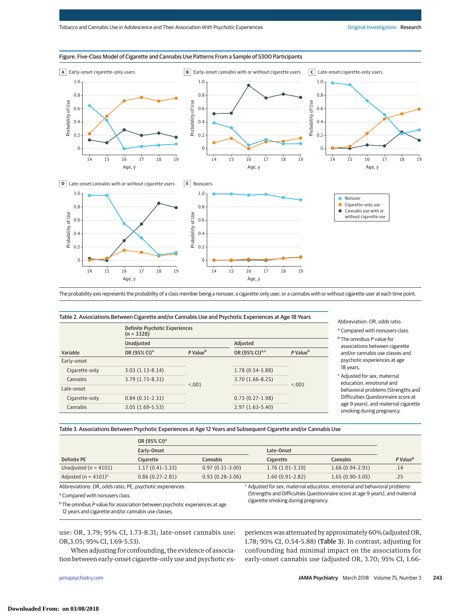

#### The probability axis represents the probability of a class member being a nonuser, a cigarette-only user, or a cannabis with or without cigarette user at each time point.

|                | Table 2. Associations Between Cigarette and/or Cannabis Use and Psychotic Experiences at Age 18 Years<br><b>Definite Psychotic Experiences</b><br>$(n = 3328)$ |                      |                     |                      |
|----------------|----------------------------------------------------------------------------------------------------------------------------------------------------------------|----------------------|---------------------|----------------------|
|                | Unadjusted                                                                                                                                                     |                      | Adjusted            |                      |
| Variable       | OR (95% CI) <sup>a</sup>                                                                                                                                       | P Value <sup>b</sup> | OR (95% CI)a,c      | P Value <sup>b</sup> |
| Early-onset    |                                                                                                                                                                |                      |                     |                      |
| Cigarette-only | $3.03(1.13-8.14)$                                                                                                                                              |                      | $1.78(0.54-5.88)$   |                      |
| Cannabis       | $3.79(1.73-8.31)$                                                                                                                                              |                      | $3.70(1.66-8.25)$   |                      |
| Late-onset     |                                                                                                                                                                | < 0.01               |                     | < 0.01               |
| Cigarette-only | $0.84(0.31-2.31)$                                                                                                                                              |                      | $0.73(0.27-1.98)$   |                      |
| Cannabis       | $3.05(1.69-5.53)$                                                                                                                                              |                      | $2.97(1.63 - 5.40)$ |                      |

Abbreviation: OR, odds ratio.

Compared with nonusers class.

The omnibus P value for associations between cigarette and/or cannabis use classes and psychotic experiences at age 18 years.

Adjusted for sex, maternal education, emotional and behavioral problems (Strengths and Difficulties Questionnaire score at age 9 years), and maternal cigarette smoking during pregnancy.

|  | Table 3. Associations Between Psychotic Experiences at Age 12 Years and Subsequent Cigarette and/or Cannabis Use |  |  |
|--|------------------------------------------------------------------------------------------------------------------|--|--|
|--|------------------------------------------------------------------------------------------------------------------|--|--|

|                                     | OR $(95\%$ CI) <sup>a</sup> |                   |                   |                   |                      |  |
|-------------------------------------|-----------------------------|-------------------|-------------------|-------------------|----------------------|--|
| Early-Onset                         |                             |                   | Late-Onset        |                   |                      |  |
| <b>Definite PE</b>                  | Cigarette                   | Cannabis          | Cigarette         | Cannabis          | P Value <sup>b</sup> |  |
| Unadjusted ( $n = 4101$ )           | $1.17(0.41-3.33)$           | $0.97(0.31-3.00)$ | $1.76(1.01-3.10)$ | $1.66(0.94-2.91)$ | .14                  |  |
| Adjusted (n = $4101$ ) <sup>c</sup> | $0.86(0.27 - 2.81)$         | $0.93(0.28-3.06)$ | $1.60(0.91-2.82)$ | $1.65(0.90-3.05)$ | .25                  |  |

Abbreviations: OR, odds ratio; PE, psychotic experiences.

<sup>a</sup> Compared with nonusers class.

 $b$  The omnibus P value for association between psychotic experiences at age 12 years and cigarette and/or cannabis use classes.

<sup>c</sup> Adjusted for sex, maternal education, emotional and behavioral problems (Strengths and Difficulties Questionnaire score at age 9 years), and maternal cigarette smoking during pregnancy.

use: OR, 3.79; 95% CI, 1.73-8.31; late-onset cannabis use: OR,3.05; 95% CI, 1.69-5.53).

When adjusting for confounding, the evidence of association between early-onset cigarette-only use and psychotic ex-

periences was attenuated by approximately 60% (adjusted OR, 1.78; 95% CI, 0.54-5.88) (Table 3). In contrast, adjusting for confounding had minimal impact on the associations for early-onset cannabis use (adjusted OR, 3.70; 95% CI, 1.66-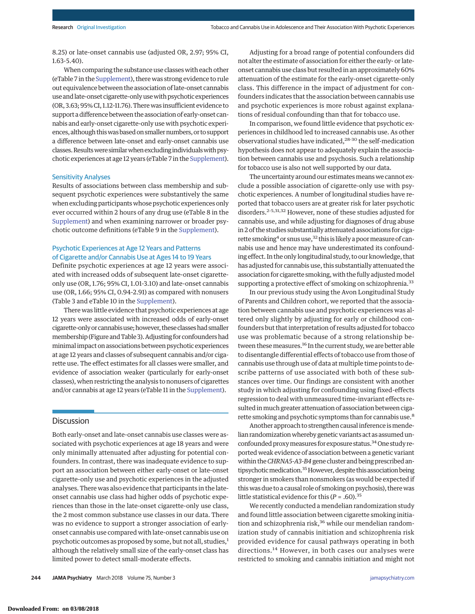8.25) or late-onset cannabis use (adjusted OR, 2.97; 95% CI, 1.63-5.40).

When comparing the substance use classes with each other (eTable 7 in the [Supplement\)](http://jama.jamanetwork.com/article.aspx?doi=10.1001/jamapsychiatry.2017.4271&utm_campaign=articlePDF%26utm_medium=articlePDFlink%26utm_source=articlePDF%26utm_content=jamapsychiatry.2017.4271), there was strong evidence to rule out equivalence between the association of late-onset cannabis use and late-onset cigarette-onlyusewith psychotic experiences (OR, 3.63; 95% CI, 1.12-11.76). Therewas insufficient evidence to support a difference between the association of early-onset cannabis and early-onset cigarette-only use with psychotic experiences, although thiswasbasedon smallernumbers,or to support a difference between late-onset and early-onset cannabis use classes. Results were similar when excluding individuals with psychotic experiences at age 12 years (eTable 7 in the [Supplement\)](http://jama.jamanetwork.com/article.aspx?doi=10.1001/jamapsychiatry.2017.4271&utm_campaign=articlePDF%26utm_medium=articlePDFlink%26utm_source=articlePDF%26utm_content=jamapsychiatry.2017.4271).

## Sensitivity Analyses

Results of associations between class membership and subsequent psychotic experiences were substantively the same when excluding participants whose psychotic experiences only ever occurred within 2 hours of any drug use (eTable 8 in the [Supplement\)](http://jama.jamanetwork.com/article.aspx?doi=10.1001/jamapsychiatry.2017.4271&utm_campaign=articlePDF%26utm_medium=articlePDFlink%26utm_source=articlePDF%26utm_content=jamapsychiatry.2017.4271) and when examining narrower or broader psychotic outcome definitions (eTable 9 in the [Supplement\)](http://jama.jamanetwork.com/article.aspx?doi=10.1001/jamapsychiatry.2017.4271&utm_campaign=articlePDF%26utm_medium=articlePDFlink%26utm_source=articlePDF%26utm_content=jamapsychiatry.2017.4271).

# Psychotic Experiences at Age 12 Years and Patterns of Cigarette and/or Cannabis Use at Ages 14 to 19 Years

Definite psychotic experiences at age 12 years were associated with increased odds of subsequent late-onset cigaretteonly use (OR, 1.76; 95% CI, 1.01-3.10) and late-onset cannabis use (OR, 1.66; 95% CI, 0.94-2.91) as compared with nonusers (Table 3 and eTable 10 in the [Supplement\)](http://jama.jamanetwork.com/article.aspx?doi=10.1001/jamapsychiatry.2017.4271&utm_campaign=articlePDF%26utm_medium=articlePDFlink%26utm_source=articlePDF%26utm_content=jamapsychiatry.2017.4271).

There was little evidence that psychotic experiences at age 12 years were associated with increased odds of early-onset cigarette-only or cannabis use; however, these classes had smaller membership (Figure and Table 3). Adjusting for confounders had minimal impact on associations between psychotic experiences at age 12 years and classes of subsequent cannabis and/or cigarette use. The effect estimates for all classes were smaller, and evidence of association weaker (particularly for early-onset classes), when restricting the analysis to nonusers of cigarettes and/or cannabis at age 12 years (eTable 11 in the [Supplement\)](http://jama.jamanetwork.com/article.aspx?doi=10.1001/jamapsychiatry.2017.4271&utm_campaign=articlePDF%26utm_medium=articlePDFlink%26utm_source=articlePDF%26utm_content=jamapsychiatry.2017.4271).

# **Discussion**

Both early-onset and late-onset cannabis use classes were associated with psychotic experiences at age 18 years and were only minimally attenuated after adjusting for potential confounders. In contrast, there was inadequate evidence to support an association between either early-onset or late-onset cigarette-only use and psychotic experiences in the adjusted analyses. There was also evidence that participants in the lateonset cannabis use class had higher odds of psychotic experiences than those in the late-onset cigarette-only use class, the 2 most common substance use classes in our data. There was no evidence to support a stronger association of earlyonset cannabis use compared with late-onset cannabis use on psychotic outcomes as proposed by some, but not all, studies,<sup>1</sup> although the relatively small size of the early-onset class has limited power to detect small-moderate effects.

Adjusting for a broad range of potential confounders did not alter the estimate of association for either the early- or lateonset cannabis use class but resulted in an approximately 60% attenuation of the estimate for the early-onset cigarette-only class. This difference in the impact of adjustment for confounders indicates that the association between cannabis use and psychotic experiences is more robust against explanations of residual confounding than that for tobacco use.

In comparison, we found little evidence that psychotic experiences in childhood led to increased cannabis use. As other  $\overline{\text{obs}}$ ervational studies have indicated, $^{28\text{-}30}$  the self-medication hypothesis does not appear to adequately explain the association between cannabis use and psychosis. Such a relationship for tobacco use is also not well supported by our data.

The uncertainty around our estimates means we cannot exclude a possible association of cigarette-only use with psychotic experiences. A number of longitudinal studies have reported that tobacco users are at greater risk for later psychotic disorders.2-5,31,32 However, none of these studies adjusted for cannabis use, and while adjusting for diagnoses of drug abuse in 2 of the studies substantially attenuated associations for cigarette smoking<sup>4</sup> or snus use,<sup>32</sup> this is likely a poor measure of cannabis use and hence may have underestimated its confounding effect. In the only longitudinal study, to our knowledge, that has adjusted for cannabis use, this substantially attenuated the association for cigarette smoking, with the fully adjusted model supporting a protective effect of smoking on schizophrenia.<sup>33</sup>

In our previous study using the Avon Longitudinal Study of Parents and Children cohort, we reported that the association between cannabis use and psychotic experiences was altered only slightly by adjusting for early or childhood confounders but that interpretation of results adjusted for tobacco use was problematic because of a strong relationship between these measures.<sup>16</sup> In the current study, we are better able to disentangle differential effects of tobacco use from those of cannabis use through use of data at multiple time points to describe patterns of use associated with both of these substances over time. Our findings are consistent with another study in which adjusting for confounding using fixed-effects regression to deal with unmeasured time-invariant effects resulted inmuch greater attenuation of association between cigarette smoking and psychotic symptoms than for cannabis use.8

Another approach to strengthen causal inference is mendelian randomization whereby genetic variants act as assumed unconfounded proxy measures for exposure status.<sup>34</sup> One study reported weak evidence of association between a genetic variant within the*CHRNA5-A3-B4*gene cluster and being prescribed antipsychotic medication.<sup>35</sup> However, despite this association being stronger in smokers than nonsmokers (as would be expected if thiswas due to a causal role of smoking on psychosis), therewas little statistical evidence for this  $(P = .60).^{35}$ 

We recently conducted a mendelian randomization study and found little association between cigarette smoking initiation and schizophrenia risk,<sup>36</sup> while our mendelian randomization study of cannabis initiation and schizophrenia risk provided evidence for causal pathways operating in both directions.<sup>14</sup> However, in both cases our analyses were restricted to smoking and cannabis initiation and might not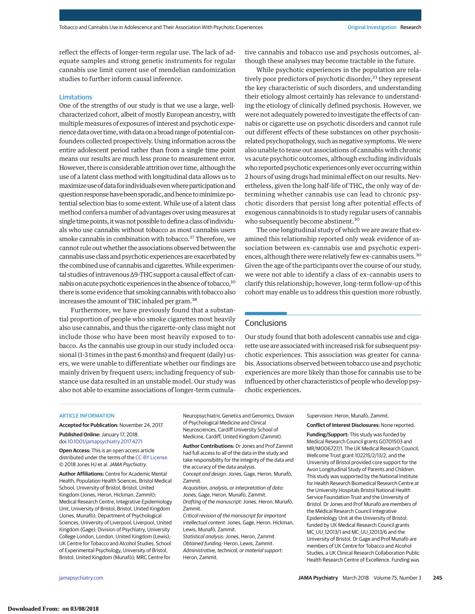reflect the effects of longer-term regular use. The lack of adequate samples and strong genetic instruments for regular cannabis use limit current use of mendelian randomization studies to further inform causal inference.

### Limitations

One of the strengths of our study is that we use a large, wellcharacterized cohort, albeit of mostly European ancestry, with multiplemeasures of exposures of interest and psychotic experience data over time, with data on a broad range of potential confounders collected prospectively. Using information across the entire adolescent period rather than from a single time point means our results are much less prone to measurement error. However, there is considerable attrition over time, although the use of a latent class method with longitudinal data allows us to maximize use of data for individuals even where participation and question response have been sporadic, and hence to minimize potential selection bias to some extent. While use of a latent class method confers a number of advantages over usingmeasures at single time points, it was not possible to define a class of individuals who use cannabis without tobacco as most cannabis users smoke cannabis in combination with tobacco.<sup>37</sup> Therefore, we cannot rule out whether the associations observed between the cannabis use class and psychotic experiences are exacerbated by the combined use of cannabis and cigarettes.While experimental studies of intravenous Δ9-THC support a causal effect of cannabis on acute psychotic experiences in the absence of tobacco,<sup>10</sup> there is some evidence that smoking cannabiswith tobacco also increases the amount of THC inhaled per gram.38

Furthermore, we have previously found that a substantial proportion of people who smoke cigarettes most heavily also use cannabis, and thus the cigarette-only class might not include those who have been most heavily exposed to tobacco. As the cannabis use group in our study included occasional (1-3 times in the past 6 months) and frequent (daily) users, we were unable to differentiate whether our findings are mainly driven by frequent users; including frequency of substance use data resulted in an unstable model. Our study was also not able to examine associations of longer-term cumulative cannabis and tobacco use and psychosis outcomes, although these analyses may become tractable in the future.

While psychotic experiences in the population are relatively poor predictors of psychotic disorder,<sup>23</sup> they represent the key characteristic of such disorders, and understanding their etiology almost certainly has relevance to understanding the etiology of clinically defined psychosis. However, we were not adequately powered to investigate the effects of cannabis or cigarette use on psychotic disorders and cannot rule out different effects of these substances on other psychosisrelated psychopathology, such as negative symptoms.We were also unable to tease out associations of cannabis with chronic vs acute psychotic outcomes, although excluding individuals who reported psychotic experiences only ever occurring within 2 hours of using drugs had minimal effect on our results. Nevertheless, given the long half-life of THC, the only way of determining whether cannabis use can lead to chronic psychotic disorders that persist long after potential effects of exogenous cannabinoids is to study regular users of cannabis who subsequently become abstinent.<sup>30</sup>

The one longitudinal study of which we are aware that examined this relationship reported only weak evidence of association between ex–cannabis use and psychotic experiences, although there were relatively few ex–cannabis users.30 Given the age of the participants over the course of our study, we were not able to identify a class of ex–cannabis users to clarify this relationship; however, long-term follow-up of this cohort may enable us to address this question more robustly.

# **Conclusions**

Our study found that both adolescent cannabis use and cigarette use are associated with increased risk for subsequent psychotic experiences. This association was greater for cannabis. Associations observed between tobacco use and psychotic experiences are more likely than those for cannabis use to be influenced by other characteristics of people who develop psychotic experiences.

#### ARTICLE INFORMATION

**Accepted for Publication:** November 24, 2017.

**Published Online:** January 17, 2018. doi[:10.1001/jamapsychiatry.2017.4271](http://jama.jamanetwork.com/article.aspx?doi=10.1001/jamapsychiatry.2017.4271&utm_campaign=articlePDF%26utm_medium=articlePDFlink%26utm_source=articlePDF%26utm_content=jamapsychiatry.2017.4271)

**Open Access:** This is an open access article distributed under the terms of the [CC-BY License.](http://jamanetwork.com/journals/jamapsychiatry/pages/instructions-for-authors#SecOpenAccess/?utm_campaign=articlePDF%26utm_medium=articlePDFlink%26utm_source=articlePDF%26utm_content=jamapsychiatry.2017.4271) © 2018 Jones HJ et al.JAMA Psychiatry.

**Author Affiliations:** Centre for Academic Mental Health, Population Health Sciences, Bristol Medical School, University of Bristol, Bristol, United Kingdom (Jones, Heron, Hickman, Zammit); Medical Research Centre, Integrative Epidemiology Unit, University of Bristol, Bristol, United Kingdom (Jones, Munafò); Department of Psychological Sciences, University of Liverpool, Liverpool, United Kingdom (Gage); Division of Psychiatry, University College London, London, United Kingdom (Lewis); UK Centre for Tobacco and Alcohol Studies, School of Experimental Psychology, University of Bristol, Bristol, United Kingdom (Munafò); MRC Centre for

Neuropsychiatric Genetics and Genomics, Division of Psychological Medicine and Clinical Neurosciences, Cardiff University School of Medicine, Cardiff, United Kingdom (Zammit).

**Author Contributions:** Dr Jones and Prof Zammit had full access to all of the data in the study and take responsibility for the integrity of the data and the accuracy of the data analysis. Concept and design: Jones, Gage, Heron, Munafò,

Zammit. Acquisition, analysis, or interpretation of data:

Jones, Gage, Heron, Munafò, Zammit. Drafting of the manuscript: Jones, Heron, Munafò, Zammit.

Critical revision of the manuscript for important intellectual content: Jones, Gage, Heron, Hickman, Lewis, Munafò, Zammit.

Statistical analysis: Jones, Heron, Zammit. Obtained funding: Heron, Lewis, Zammit. Administrative, technical, or material support: Heron, Zammit.

Supervision: Heron, Munafò, Zammit.

**Conflict of Interest Disclosures:** None reported.

**Funding/Support:** This study was funded by Medical Research Council grants G0701503 and MR/M006727/1. The UK Medical Research Council, Wellcome Trust grant 102215/2/13/2, and the University of Bristol provided core support for the Avon Longitudinal Study of Parents and Children. This study was supported by the National Institute for Health Research Biomedical Research Centre at the University Hospitals Bristol National Health Service Foundation Trust and the University of Bristol. Dr Jones and Prof Munafò are members of the Medical Research Council Integrative Epidemiology Unit at the University of Bristol, funded by UK Medical Research Council grants MC\_UU\_12013/1 and MC\_UU\_12013/6 and the University of Bristol. Dr Gage and Prof Munafò are members of UK Centre for Tobacco and Alcohol Studies, a UK Clinical Research Collaboration Public Health Research Centre of Excellence. Funding was